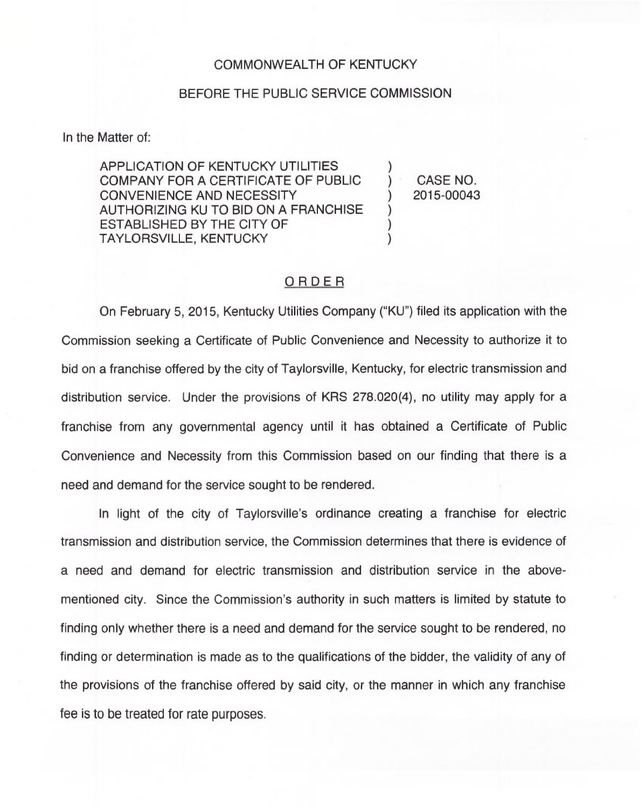## COMMONWEALTH OF KENTUCKY

## BEFORE THE PUBLIC SERVICE COMMISSION

In the Matter of:

APPLICATION OF KENTUCKY UTILITIES COMPANY FOR A CERTIFICATE OF PUBLIC CONVENIENCE AND NECESSITY AUTHORIZING KU TO BID ON A FRANCHISE ESTABLISHED BY THE CITY OF TAYLORSVILLE, KENTUCKY

) CASE NO. ) 2015-00043

)

) ) )

## ORDER

On February 5, 2015, Kentucky Utilities Company ("KU") filed its application with the Commission seeking a Certificate of Public Convenience and Necessity to authorize it to bid on a franchise offered by the city of Taylorsville, Kentucky, for electric transmission and distribution service. Under the provisions of KRS 278.020(4), no utility may apply for a franchise from any governmental agency until it has obtained a Certificate of Public Convenience and Necessity from this Commission based on our finding that there is a need and demand for the service sought to be rendered.

In light of the city of Taylorsville's ordinance creating a franchise for electric transmission and distribution service, the Commission determines that there is evidence of a need and demand for electric transmission and distribution service in the abovementioned city. Since the Commission's authority in such matters is limited by statute to finding only whether there is a need and demand for the service sought to be rendered, no finding or determination is made as to the qualifications of the bidder, the validity of any of the provisions of the franchise offered by said city, or the manner in which any franchise fee is to be treated for rate purposes.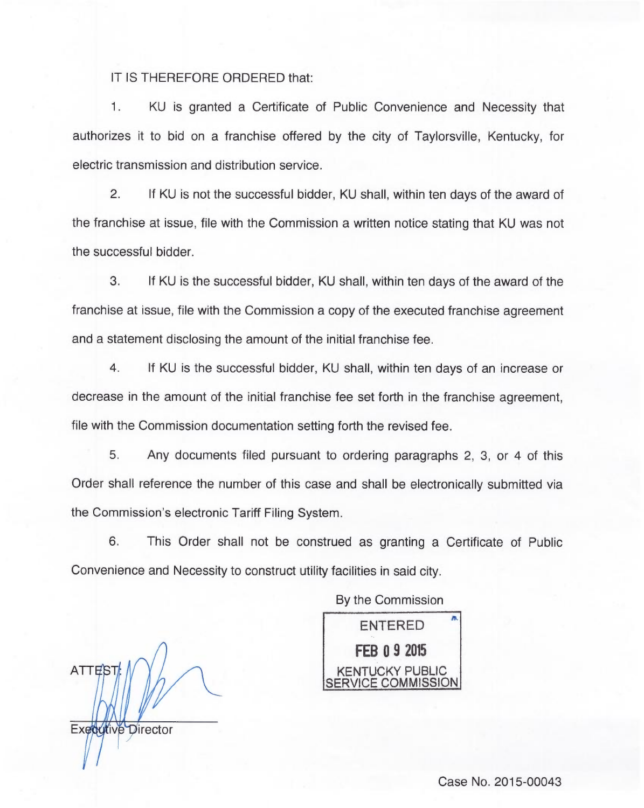IT IS THEREFORE ORDERED that:

 $\mathbf{1}$ . KU is granted a Certificate of Public Convenience and Necessity that authorizes it to bid on a franchise offered by the city of Taylorsville, Kentucky, for electric transmission and distribution service.

2. If KU is not the successful bidder, KU shall, within ten days of the award of the franchise at issue, file with the Commission a written notice stating that KU was not the successful bidder.

3. If KU is the successful bidder, KU shall, within ten days of the award of the franchise at issue, file with the Commission a copy of the executed franchise agreement and a statement disclosing the amount of the initial franchise fee.

4. If KU is the successful bidder, KU shall, within ten days of an increase or decrease in the amount of the initial franchise fee set forth in the franchise agreement, file with the Commission documentation setting forth the revised fee.

5. Any documents filed pursuant to ordering paragraphs 2, 3, or 4 of this Order shall reference the number of this case and shall be electronically submitted via the Commission's electronic Tariff Filing System.

6. This Order shall not be construed as granting a Certificate of Public Convenience and Necessity to construct utility facilities in said city.

By the Commission

ATTES<sub>1</sub> Executive Director

ENTERED FEB 09 <sup>2015</sup> KENTUCKY PUBLIC COMMISSION.

Case No. 2015-00043